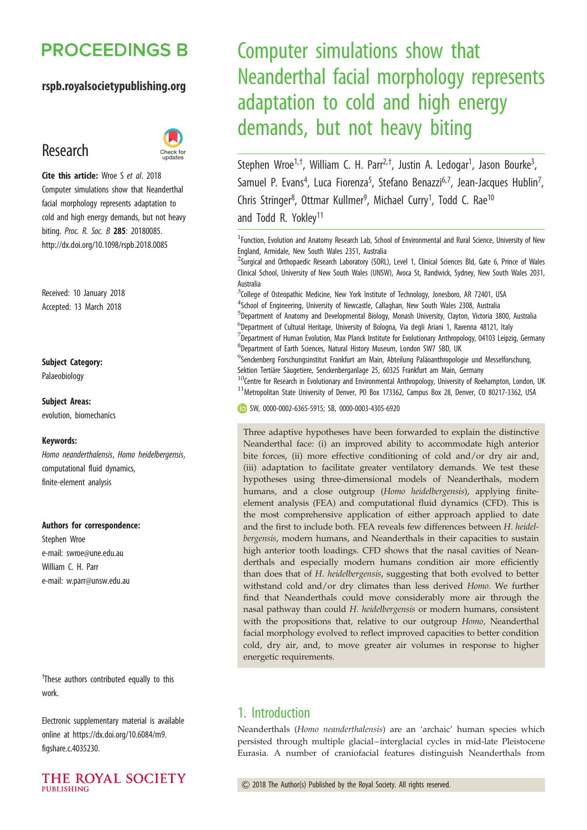# **PROCEEDINGS B**

# rspb.royalsocietypublishing.org

# Research



Cite this article: Wroe S et al. 2018 Computer simulations show that Neanderthal facial morphology represents adaptation to cold and high energy demands, but not heavy biting. Proc. R. Soc. B 285: 20180085. http://dx.doi.org/10.1098/rspb.2018.0085

Received: 10 January 2018 Accepted: 13 March 2018

## Subject Category:

Palaeobiology

Subject Areas: evolution, biomechanics

#### Keywords:

Homo neanderthalensis, Homo heidelbergensis, computational fluid dynamics, finite-element analysis

#### Authors for correspondence:

Stephen Wroe e-mail: [swroe@une.edu.au](mailto:swroe@une.edu.au) William C. H. Parr e-mail: [w.parr@unsw.edu.au](mailto:w.parr@unsw.edu.au)

<sup>†</sup>These authors contributed equally to this work.

Electronic supplementary material is available online at [https://dx.doi.org/10.6084/m9.](https://dx.doi.org/10.6084/m9.figshare.c.4035230) [figshare.c.4035230](https://dx.doi.org/10.6084/m9.figshare.c.4035230).



# Computer simulations show that Neanderthal facial morphology represents adaptation to cold and high energy demands, but not heavy biting

Stephen Wroe<sup>1,†</sup>, William C. H. Parr<sup>2,†</sup>, Justin A. Ledogar<sup>1</sup>, Jason Bourke<sup>3</sup> , Samuel P. Evans<sup>4</sup>, Luca Fiorenza<sup>5</sup>, Stefano Benazzi<sup>6,7</sup>, Jean-Jacques Hublin<sup>7</sup> , Chris Stringer<sup>8</sup>, Ottmar Kullmer<sup>9</sup>, Michael Curry<sup>1</sup>, Todd C. Rae<sup>10</sup> and Todd R. Yokley<sup>11</sup>

<sup>1</sup> Function, Evolution and Anatomy Research Lab, School of Environmental and Rural Science, University of New England, Armidale, New South Wales 2351, Australia

<sup>2</sup>Surgical and Orthopaedic Research Laboratory (SORL), Level 1, Clinical Sciences Bld, Gate 6, Prince of Wales Clinical School, University of New South Wales (UNSW), Avoca St, Randwick, Sydney, New South Wales 2031, Australia

<sup>3</sup>College of Osteopathic Medicine, New York Institute of Technology, Jonesboro, AR 72401, USA <sup>4</sup>School of Engineering, University of Newcastle, Callaghan, New South Wales 2308, Australia

5 Department of Anatomy and Developmental Biology, Monash University, Clayton, Victoria 3800, Australia 6 Department of Cultural Heritage, University of Bologna, Via degli Ariani 1, Ravenna 48121, Italy

 $^7$ Department of Human Evolution, Max Planck Institute for Evolutionary Anthropology, 04103 Leipzig, Germany 8 Department of Earth Sciences, Natural History Museum, London SW7 5BD, UK

<sup>9</sup>Senckenberg Forschungsinstitut Frankfurt am Main, Abteilung Paläoanthropologie und Messelforschung, Sektion Tertiäre Säugetiere, Senckenberganlage 25, 60325 Frankfurt am Main, Germany

 $^{10}$ Centre for Research in Evolutionary and Environmental Anthropology, University of Roehampton, London, UK <sup>11</sup>Metropolitan State University of Denver, PO Box 173362, Campus Box 28, Denver, CO 80217-3362, USA

SW, [0000-0002-6365-5915](http://orcid.org/0000-0002-6365-5915); SB, [0000-0003-4305-6920](http://orcid.org/0000-0003-4305-6920)

Three adaptive hypotheses have been forwarded to explain the distinctive Neanderthal face: (i) an improved ability to accommodate high anterior bite forces, (ii) more effective conditioning of cold and/or dry air and, (iii) adaptation to facilitate greater ventilatory demands. We test these hypotheses using three-dimensional models of Neanderthals, modern humans, and a close outgroup (Homo heidelbergensis), applying finiteelement analysis (FEA) and computational fluid dynamics (CFD). This is the most comprehensive application of either approach applied to date and the first to include both. FEA reveals few differences between H. heidelbergensis, modern humans, and Neanderthals in their capacities to sustain high anterior tooth loadings. CFD shows that the nasal cavities of Neanderthals and especially modern humans condition air more efficiently than does that of H. heidelbergensis, suggesting that both evolved to better withstand cold and/or dry climates than less derived Homo. We further find that Neanderthals could move considerably more air through the nasal pathway than could H. heidelbergensis or modern humans, consistent with the propositions that, relative to our outgroup Homo, Neanderthal facial morphology evolved to reflect improved capacities to better condition cold, dry air, and, to move greater air volumes in response to higher energetic requirements.

# 1. Introduction

Neanderthals (Homo neanderthalensis) are an 'archaic' human species which persisted through multiple glacial –interglacial cycles in mid-late Pleistocene Eurasia. A number of craniofacial features distinguish Neanderthals from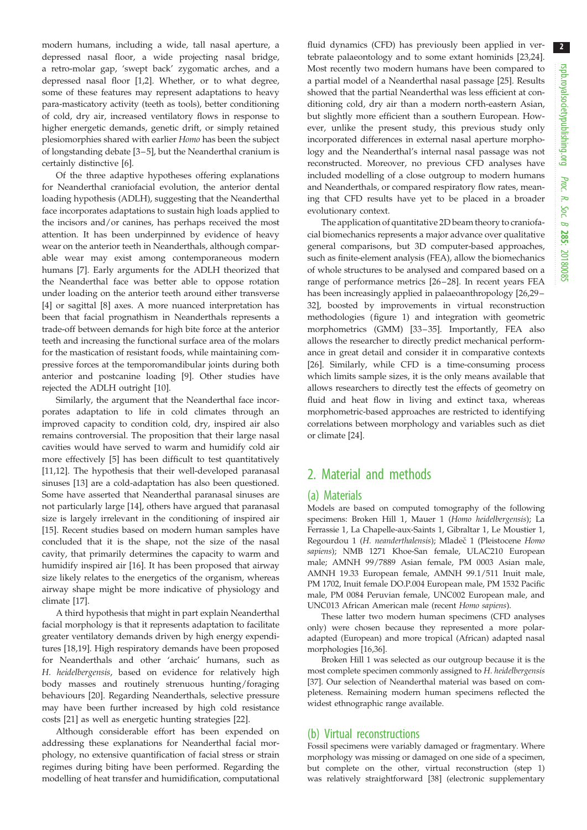modern humans, including a wide, tall nasal aperture, a depressed nasal floor, a wide projecting nasal bridge, a retro-molar gap, 'swept back' zygomatic arches, and a depressed nasal floor [[1](#page-6-0),[2](#page-6-0)]. Whether, or to what degree, some of these features may represent adaptations to heavy para-masticatory activity (teeth as tools), better conditioning of cold, dry air, increased ventilatory flows in response to higher energetic demands, genetic drift, or simply retained plesiomorphies shared with earlier Homo has been the subject of longstanding debate [[3](#page-6-0)–[5](#page-6-0)], but the Neanderthal cranium is certainly distinctive [\[6\]](#page-6-0).

Of the three adaptive hypotheses offering explanations for Neanderthal craniofacial evolution, the anterior dental loading hypothesis (ADLH), suggesting that the Neanderthal face incorporates adaptations to sustain high loads applied to the incisors and/or canines, has perhaps received the most attention. It has been underpinned by evidence of heavy wear on the anterior teeth in Neanderthals, although comparable wear may exist among contemporaneous modern humans [\[7\]](#page-6-0). Early arguments for the ADLH theorized that the Neanderthal face was better able to oppose rotation under loading on the anterior teeth around either transverse [\[4\]](#page-6-0) or sagittal [[8](#page-6-0)] axes. A more nuanced interpretation has been that facial prognathism in Neanderthals represents a trade-off between demands for high bite force at the anterior teeth and increasing the functional surface area of the molars for the mastication of resistant foods, while maintaining compressive forces at the temporomandibular joints during both anterior and postcanine loading [\[9\]](#page-6-0). Other studies have rejected the ADLH outright [\[10](#page-6-0)].

Similarly, the argument that the Neanderthal face incorporates adaptation to life in cold climates through an improved capacity to condition cold, dry, inspired air also remains controversial. The proposition that their large nasal cavities would have served to warm and humidify cold air more effectively [[5](#page-6-0)] has been difficult to test quantitatively [\[11](#page-6-0),[12\]](#page-6-0). The hypothesis that their well-developed paranasal sinuses [\[13](#page-6-0)] are a cold-adaptation has also been questioned. Some have asserted that Neanderthal paranasal sinuses are not particularly large [[14\]](#page-6-0), others have argued that paranasal size is largely irrelevant in the conditioning of inspired air [\[15](#page-6-0)]. Recent studies based on modern human samples have concluded that it is the shape, not the size of the nasal cavity, that primarily determines the capacity to warm and humidify inspired air [[16\]](#page-6-0). It has been proposed that airway size likely relates to the energetics of the organism, whereas airway shape might be more indicative of physiology and climate [[17\]](#page-6-0).

A third hypothesis that might in part explain Neanderthal facial morphology is that it represents adaptation to facilitate greater ventilatory demands driven by high energy expenditures [[18,19\]](#page-6-0). High respiratory demands have been proposed for Neanderthals and other 'archaic' humans, such as H. heidelbergensis, based on evidence for relatively high body masses and routinely strenuous hunting/foraging behaviours [[20\]](#page-6-0). Regarding Neanderthals, selective pressure may have been further increased by high cold resistance costs [\[21](#page-6-0)] as well as energetic hunting strategies [[22\]](#page-6-0).

Although considerable effort has been expended on addressing these explanations for Neanderthal facial morphology, no extensive quantification of facial stress or strain regimes during biting have been performed. Regarding the modelling of heat transfer and humidification, computational fluid dynamics (CFD) has previously been applied in vertebrate palaeontology and to some extant hominids [\[23](#page-6-0),[24\]](#page-7-0). Most recently two modern humans have been compared to a partial model of a Neanderthal nasal passage [\[25](#page-7-0)]. Results showed that the partial Neanderthal was less efficient at conditioning cold, dry air than a modern north-eastern Asian, but slightly more efficient than a southern European. However, unlike the present study, this previous study only incorporated differences in external nasal aperture morphology and the Neanderthal's internal nasal passage was not reconstructed. Moreover, no previous CFD analyses have included modelling of a close outgroup to modern humans and Neanderthals, or compared respiratory flow rates, meaning that CFD results have yet to be placed in a broader evolutionary context.

The application of quantitative 2D beam theory to craniofacial biomechanics represents a major advance over qualitative general comparisons, but 3D computer-based approaches, such as finite-element analysis (FEA), allow the biomechanics of whole structures to be analysed and compared based on a range of performance metrics [\[26](#page-7-0) –[28\]](#page-7-0). In recent years FEA has been increasingly applied in palaeoanthropology [\[26,29](#page-7-0) – [32\]](#page-7-0), boosted by improvements in virtual reconstruction methodologies [\(figure 1](#page-2-0)) and integration with geometric morphometrics (GMM) [[33](#page-7-0)-[35](#page-7-0)]. Importantly, FEA also allows the researcher to directly predict mechanical performance in great detail and consider it in comparative contexts [[26\]](#page-7-0). Similarly, while CFD is a time-consuming process which limits sample sizes, it is the only means available that allows researchers to directly test the effects of geometry on fluid and heat flow in living and extinct taxa, whereas morphometric-based approaches are restricted to identifying correlations between morphology and variables such as diet or climate [[24\]](#page-7-0).

# 2. Material and methods

## (a) Materials

Models are based on computed tomography of the following specimens: Broken Hill 1, Mauer 1 (Homo heidelbergensis); La Ferrassie 1, La Chapelle-aux-Saints 1, Gibraltar 1, Le Moustier 1, Regourdou 1 (H. neanderthalensis); Mladeč 1 (Pleistocene Homo sapiens); NMB 1271 Khoe-San female, ULAC210 European male; AMNH 99/7889 Asian female, PM 0003 Asian male, AMNH 19.33 European female, AMNH 99.1/511 Inuit male, PM 1702, Inuit female DO.P.004 European male, PM 1532 Pacific male, PM 0084 Peruvian female, UNC002 European male, and UNC013 African American male (recent Homo sapiens).

These latter two modern human specimens (CFD analyses only) were chosen because they represented a more polaradapted (European) and more tropical (African) adapted nasal morphologies [[16](#page-6-0)[,36\]](#page-7-0).

Broken Hill 1 was selected as our outgroup because it is the most complete specimen commonly assigned to H. heidelbergensis [[37](#page-7-0)]. Our selection of Neanderthal material was based on completeness. Remaining modern human specimens reflected the widest ethnographic range available.

## (b) Virtual reconstructions

Fossil specimens were variably damaged or fragmentary. Where morphology was missing or damaged on one side of a specimen, but complete on the other, virtual reconstruction (step 1) was relatively straightforward [[38](#page-7-0)] (electronic supplementary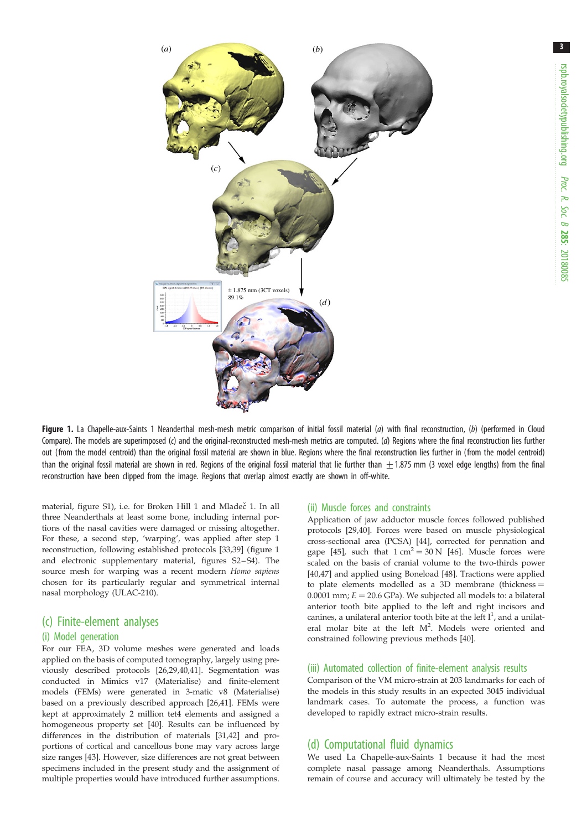3

<span id="page-2-0"></span>

Figure 1. La Chapelle-aux-Saints 1 Neanderthal mesh-mesh metric comparison of initial fossil material (a) with final reconstruction, (b) (performed in Cloud Compare). The models are superimposed (c) and the original-reconstructed mesh-mesh metrics are computed. (d) Regions where the final reconstruction lies further out (from the model centroid) than the original fossil material are shown in blue. Regions where the final reconstruction lies further in (from the model centroid) than the original fossil material are shown in red. Regions of the original fossil material that lie further than  $+1.875$  mm (3 voxel edge lengths) from the final reconstruction have been clipped from the image. Regions that overlap almost exactly are shown in off-white.

material, figure S1), i.e. for Broken Hill 1 and Mladeč 1. In all three Neanderthals at least some bone, including internal portions of the nasal cavities were damaged or missing altogether. For these, a second step, 'warping', was applied after step 1 reconstruction, following established protocols [\[33,39](#page-7-0)] (figure 1 and electronic supplementary material, figures S2-S4). The source mesh for warping was a recent modern Homo sapiens chosen for its particularly regular and symmetrical internal nasal morphology (ULAC-210).

## (c) Finite-element analyses

## (i) Model generation

For our FEA, 3D volume meshes were generated and loads applied on the basis of computed tomography, largely using previously described protocols [[26,29,40,41](#page-7-0)]. Segmentation was conducted in Mimics v17 (Materialise) and finite-element models (FEMs) were generated in 3-matic v8 (Materialise) based on a previously described approach [[26,41\]](#page-7-0). FEMs were kept at approximately 2 million tet4 elements and assigned a homogeneous property set [[40](#page-7-0)]. Results can be influenced by differences in the distribution of materials [\[31,42](#page-7-0)] and proportions of cortical and cancellous bone may vary across large size ranges [[43](#page-7-0)]. However, size differences are not great between specimens included in the present study and the assignment of multiple properties would have introduced further assumptions.

#### (ii) Muscle forces and constraints

Application of jaw adductor muscle forces followed published protocols [\[29,40\]](#page-7-0). Forces were based on muscle physiological cross-sectional area (PCSA) [[44](#page-7-0)], corrected for pennation and gape [[45](#page-7-0)], such that  $1 \text{ cm}^2 = 30 \text{ N}$  [[46](#page-7-0)]. Muscle forces were scaled on the basis of cranial volume to the two-thirds power [[40,47\]](#page-7-0) and applied using Boneload [[48](#page-7-0)]. Tractions were applied to plate elements modelled as a 3D membrane (thickness  $=$ 0.0001 mm;  $E = 20.6$  GPa). We subjected all models to: a bilateral anterior tooth bite applied to the left and right incisors and canines, a unilateral anterior tooth bite at the left  $I^1$ , and a unilateral molar bite at the left  $M^2$ . Models were oriented and constrained following previous methods [\[40\]](#page-7-0).

#### (iii) Automated collection of finite-element analysis results

Comparison of the VM micro-strain at 203 landmarks for each of the models in this study results in an expected 3045 individual landmark cases. To automate the process, a function was developed to rapidly extract micro-strain results.

## (d) Computational fluid dynamics

We used La Chapelle-aux-Saints 1 because it had the most complete nasal passage among Neanderthals. Assumptions remain of course and accuracy will ultimately be tested by the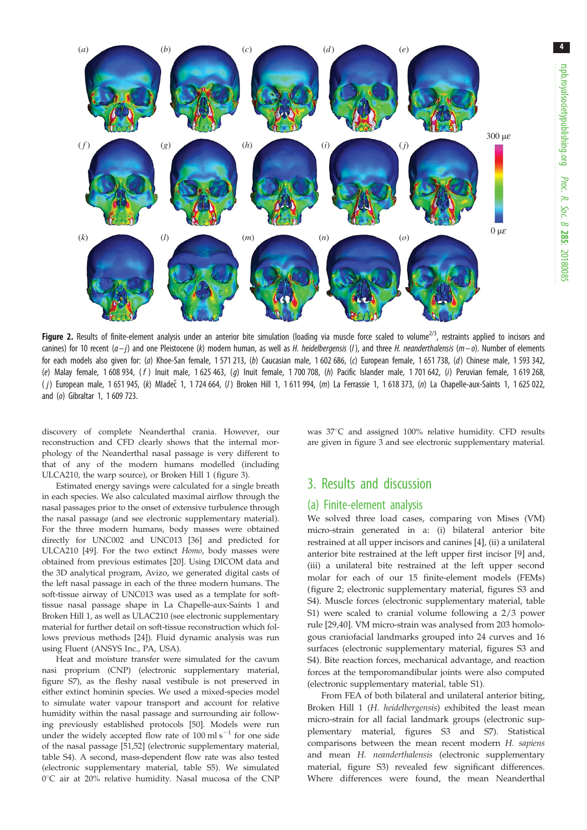

Figure 2. Results of finite-element analysis under an anterior bite simulation (loading via muscle force scaled to volume<sup>2/3</sup>, restraints applied to incisors and canines) for 10 recent  $(a-j)$  and one Pleistocene (k) modern human, as well as H. heidelbergensis (I), and three H. neanderthalensis ( $m-0$ ). Number of elements for each models also given for: (a) Khoe-San female, 1571 213, (b) Caucasian male, 1 602 686, (c) European female, 1 651 738, (d) Chinese male, 1 593 342, (e) Malay female, 1 608 934, ( f ) Inuit male, 1 625 463, (g) Inuit female, 1 700 708, (h) Pacific Islander male, 1 701 642, (i) Peruvian female, 1 619 268, (*i*) European male, 1 651 945, (k) Mladeč 1, 1 724 664, (*l*) Broken Hill 1, 1 611 994, (*m*) La Ferrassie 1, 1 618 373, (*n*) La Chapelle-aux-Saints 1, 1 625 022, and (o) Gibraltar 1, 1 609 723.

discovery of complete Neanderthal crania. However, our reconstruction and CFD clearly shows that the internal morphology of the Neanderthal nasal passage is very different to that of any of the modern humans modelled (including ULCA210, the warp source), or Broken Hill 1 [\(figure 3\)](#page-4-0).

Estimated energy savings were calculated for a single breath in each species. We also calculated maximal airflow through the nasal passages prior to the onset of extensive turbulence through the nasal passage (and see electronic supplementary material). For the three modern humans, body masses were obtained directly for UNC002 and UNC013 [[36](#page-7-0)] and predicted for ULCA210 [\[49\]](#page-7-0). For the two extinct Homo, body masses were obtained from previous estimates [\[20\]](#page-6-0). Using DICOM data and the 3D analytical program, Avizo, we generated digital casts of the left nasal passage in each of the three modern humans. The soft-tissue airway of UNC013 was used as a template for softtissue nasal passage shape in La Chapelle-aux-Saints 1 and Broken Hill 1, as well as ULAC210 (see electronic supplementary material for further detail on soft-tissue reconstruction which follows previous methods [[24](#page-7-0)]). Fluid dynamic analysis was run using Fluent (ANSYS Inc., PA, USA).

Heat and moisture transfer were simulated for the cavum nasi proprium (CNP) (electronic supplementary material, figure S7), as the fleshy nasal vestibule is not preserved in either extinct hominin species. We used a mixed-species model to simulate water vapour transport and account for relative humidity within the nasal passage and surrounding air following previously established protocols [[50](#page-7-0)]. Models were run under the widely accepted flow rate of  $100 \text{ ml s}^{-1}$  for one side of the nasal passage [\[51,52](#page-7-0)] (electronic supplementary material, table S4). A second, mass-dependent flow rate was also tested (electronic supplementary material, table S5). We simulated  $0^{\circ}$ C air at 20% relative humidity. Nasal mucosa of the CNP

was 37°C and assigned 100% relative humidity. CFD results are given in [figure 3](#page-4-0) and see electronic supplementary material.

# 3. Results and discussion

## (a) Finite-element analysis

We solved three load cases, comparing von Mises (VM) micro-strain generated in a: (i) bilateral anterior bite restrained at all upper incisors and canines [[4](#page-6-0)], (ii) a unilateral anterior bite restrained at the left upper first incisor [[9](#page-6-0)] and, (iii) a unilateral bite restrained at the left upper second molar for each of our 15 finite-element models (FEMs) (figure 2; electronic supplementary material, figures S3 and S4). Muscle forces (electronic supplementary material, table S1) were scaled to cranial volume following a 2/3 power rule [[29,40\]](#page-7-0). VM micro-strain was analysed from 203 homologous craniofacial landmarks grouped into 24 curves and 16 surfaces (electronic supplementary material, figures S3 and S4). Bite reaction forces, mechanical advantage, and reaction forces at the temporomandibular joints were also computed (electronic supplementary material, table S1).

From FEA of both bilateral and unilateral anterior biting, Broken Hill 1 (H. heidelbergensis) exhibited the least mean micro-strain for all facial landmark groups (electronic supplementary material, figures S3 and S7). Statistical comparisons between the mean recent modern H. sapiens and mean H. neanderthalensis (electronic supplementary material, figure S3) revealed few significant differences. Where differences were found, the mean Neanderthal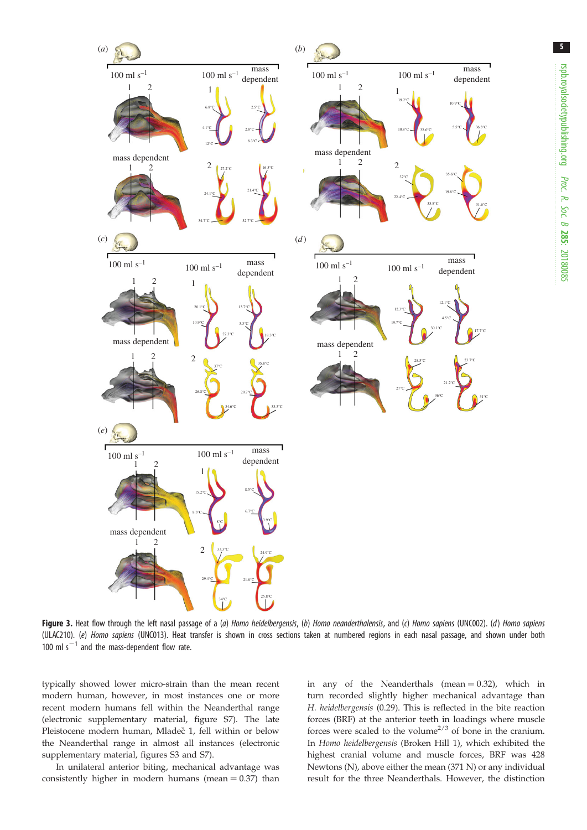<span id="page-4-0"></span>

Figure 3. Heat flow through the left nasal passage of a (a) Homo heidelbergensis, (b) Homo neanderthalensis, and (c) Homo sapiens (UNC002). (d) Homo sapiens (ULAC210). (e) Homo sapiens (UNC013). Heat transfer is shown in cross sections taken at numbered regions in each nasal passage, and shown under both 100 ml  $s^{-1}$  and the mass-dependent flow rate.

typically showed lower micro-strain than the mean recent modern human, however, in most instances one or more recent modern humans fell within the Neanderthal range (electronic supplementary material, figure S7). The late Pleistocene modern human, Mladeč 1, fell within or below the Neanderthal range in almost all instances (electronic supplementary material, figures S3 and S7).

In unilateral anterior biting, mechanical advantage was consistently higher in modern humans (mean  $= 0.37$ ) than in any of the Neanderthals (mean  $= 0.32$ ), which in turn recorded slightly higher mechanical advantage than H. heidelbergensis (0.29). This is reflected in the bite reaction forces (BRF) at the anterior teeth in loadings where muscle forces were scaled to the volume<sup> $2/3$ </sup> of bone in the cranium. In Homo heidelbergensis (Broken Hill 1), which exhibited the highest cranial volume and muscle forces, BRF was 428 Newtons (N), above either the mean (371 N) or any individual result for the three Neanderthals. However, the distinction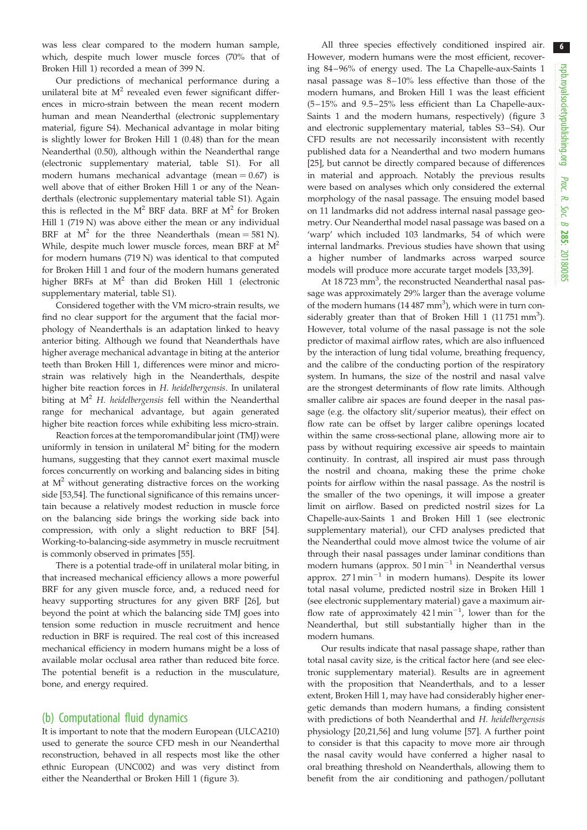was less clear compared to the modern human sample, which, despite much lower muscle forces (70% that of Broken Hill 1) recorded a mean of 399 N.

Our predictions of mechanical performance during a unilateral bite at  $M^2$  revealed even fewer significant differences in micro-strain between the mean recent modern human and mean Neanderthal (electronic supplementary material, figure S4). Mechanical advantage in molar biting is slightly lower for Broken Hill 1 (0.48) than for the mean Neanderthal (0.50), although within the Neanderthal range (electronic supplementary material, table S1). For all modern humans mechanical advantage (mean  $= 0.67$ ) is well above that of either Broken Hill 1 or any of the Neanderthals (electronic supplementary material table S1). Again this is reflected in the  $M^2$  BRF data. BRF at  $M^2$  for Broken Hill 1 (719 N) was above either the mean or any individual BRF at  $M^2$  for the three Neanderthals (mean = 581 N). While, despite much lower muscle forces, mean BRF at  $M^2$ for modern humans (719 N) was identical to that computed for Broken Hill 1 and four of the modern humans generated higher BRFs at  $M^2$  than did Broken Hill 1 (electronic supplementary material, table S1).

Considered together with the VM micro-strain results, we find no clear support for the argument that the facial morphology of Neanderthals is an adaptation linked to heavy anterior biting. Although we found that Neanderthals have higher average mechanical advantage in biting at the anterior teeth than Broken Hill 1, differences were minor and microstrain was relatively high in the Neanderthals, despite higher bite reaction forces in H. heidelbergensis. In unilateral biting at  $M^2$  H. heidelbergensis fell within the Neanderthal range for mechanical advantage, but again generated higher bite reaction forces while exhibiting less micro-strain.

Reaction forces at the temporomandibular joint (TMJ) were uniformly in tension in unilateral  $M^2$  biting for the modern humans, suggesting that they cannot exert maximal muscle forces concurrently on working and balancing sides in biting at  $M<sup>2</sup>$  without generating distractive forces on the working side [[53,54\]](#page-7-0). The functional significance of this remains uncertain because a relatively modest reduction in muscle force on the balancing side brings the working side back into compression, with only a slight reduction to BRF [\[54](#page-7-0)]. Working-to-balancing-side asymmetry in muscle recruitment is commonly observed in primates [[55\]](#page-7-0).

There is a potential trade-off in unilateral molar biting, in that increased mechanical efficiency allows a more powerful BRF for any given muscle force, and, a reduced need for heavy supporting structures for any given BRF [[26\]](#page-7-0), but beyond the point at which the balancing side TMJ goes into tension some reduction in muscle recruitment and hence reduction in BRF is required. The real cost of this increased mechanical efficiency in modern humans might be a loss of available molar occlusal area rather than reduced bite force. The potential benefit is a reduction in the musculature, bone, and energy required.

## (b) Computational fluid dynamics

It is important to note that the modern European (ULCA210) used to generate the source CFD mesh in our Neanderthal reconstruction, behaved in all respects most like the other ethnic European (UNC002) and was very distinct from either the Neanderthal or Broken Hill 1 [\(figure 3\)](#page-4-0).

All three species effectively conditioned inspired air. However, modern humans were the most efficient, recovering 84–96% of energy used. The La Chapelle-aux-Saints 1 nasal passage was 8–10% less effective than those of the modern humans, and Broken Hill 1 was the least efficient (5– 15% and 9.5–25% less efficient than La Chapelle-aux-Saints 1 and the modern humans, respectively) [\(figure 3](#page-4-0) and electronic supplementary material, tables S3 –S4). Our CFD results are not necessarily inconsistent with recently published data for a Neanderthal and two modern humans [[25\]](#page-7-0), but cannot be directly compared because of differences in material and approach. Notably the previous results were based on analyses which only considered the external morphology of the nasal passage. The ensuing model based on 11 landmarks did not address internal nasal passage geometry. Our Neanderthal model nasal passage was based on a 'warp' which included 103 landmarks, 54 of which were internal landmarks. Previous studies have shown that using a higher number of landmarks across warped source models will produce more accurate target models [[33,39](#page-7-0)].

At 18723 mm<sup>3</sup>, the reconstructed Neanderthal nasal passage was approximately 29% larger than the average volume of the modern humans  $(14\,487\,\mathrm{mm}^3)$ , which were in turn considerably greater than that of Broken Hill  $1$  (11751 mm<sup>3</sup>). However, total volume of the nasal passage is not the sole predictor of maximal airflow rates, which are also influenced by the interaction of lung tidal volume, breathing frequency, and the calibre of the conducting portion of the respiratory system. In humans, the size of the nostril and nasal valve are the strongest determinants of flow rate limits. Although smaller calibre air spaces are found deeper in the nasal passage (e.g. the olfactory slit/superior meatus), their effect on flow rate can be offset by larger calibre openings located within the same cross-sectional plane, allowing more air to pass by without requiring excessive air speeds to maintain continuity. In contrast, all inspired air must pass through the nostril and choana, making these the prime choke points for airflow within the nasal passage. As the nostril is the smaller of the two openings, it will impose a greater limit on airflow. Based on predicted nostril sizes for La Chapelle-aux-Saints 1 and Broken Hill 1 (see electronic supplementary material), our CFD analyses predicted that the Neanderthal could move almost twice the volume of air through their nasal passages under laminar conditions than modern humans (approx.  $50 \, \text{l min}^{-1}$  in Neanderthal versus approx.  $27 \text{ l min}^{-1}$  in modern humans). Despite its lower total nasal volume, predicted nostril size in Broken Hill 1 (see electronic supplementary material) gave a maximum airflow rate of approximately  $42 \text{ l min}^{-1}$ , lower than for the Neanderthal, but still substantially higher than in the modern humans.

Our results indicate that nasal passage shape, rather than total nasal cavity size, is the critical factor here (and see electronic supplementary material). Results are in agreement with the proposition that Neanderthals, and to a lesser extent, Broken Hill 1, may have had considerably higher energetic demands than modern humans, a finding consistent with predictions of both Neanderthal and H. heidelbergensis physiology [[20,21,](#page-6-0)[56](#page-7-0)] and lung volume [\[57](#page-7-0)]. A further point to consider is that this capacity to move more air through the nasal cavity would have conferred a higher nasal to oral breathing threshold on Neanderthals, allowing them to benefit from the air conditioning and pathogen/pollutant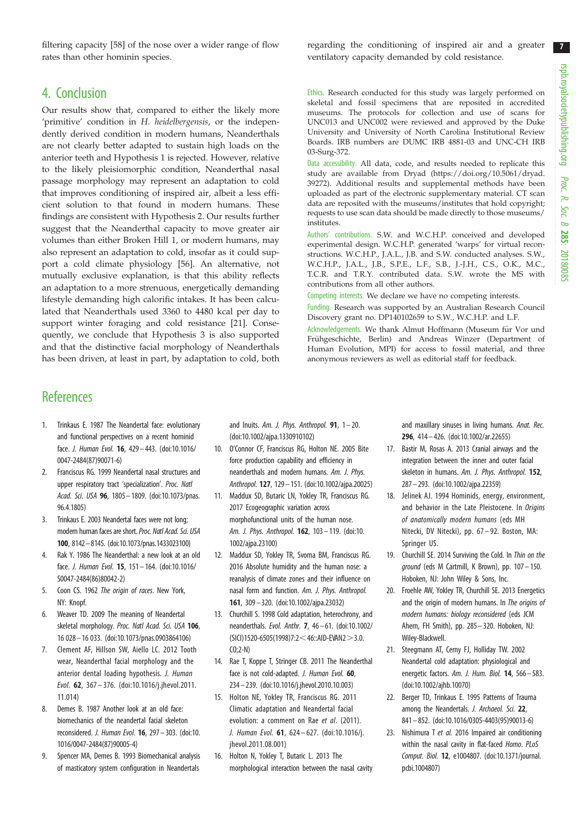7

<span id="page-6-0"></span>filtering capacity [[58\]](#page-7-0) of the nose over a wider range of flow rates than other hominin species.

# 4. Conclusion

Our results show that, compared to either the likely more 'primitive' condition in H. heidelbergensis, or the independently derived condition in modern humans, Neanderthals are not clearly better adapted to sustain high loads on the anterior teeth and Hypothesis 1 is rejected. However, relative to the likely pleisiomorphic condition, Neanderthal nasal passage morphology may represent an adaptation to cold that improves conditioning of inspired air, albeit a less efficient solution to that found in modern humans. These findings are consistent with Hypothesis 2. Our results further suggest that the Neanderthal capacity to move greater air volumes than either Broken Hill 1, or modern humans, may also represent an adaptation to cold, insofar as it could support a cold climate physiology [\[56](#page-7-0)]. An alternative, not mutually exclusive explanation, is that this ability reflects an adaptation to a more strenuous, energetically demanding lifestyle demanding high calorific intakes. It has been calculated that Neanderthals used 3360 to 4480 kcal per day to support winter foraging and cold resistance [21]. Consequently, we conclude that Hypothesis 3 is also supported and that the distinctive facial morphology of Neanderthals has been driven, at least in part, by adaptation to cold, both regarding the conditioning of inspired air and a greater ventilatory capacity demanded by cold resistance.

Ethics. Research conducted for this study was largely performed on skeletal and fossil specimens that are reposited in accredited museums. The protocols for collection and use of scans for UNC013 and UNC002 were reviewed and approved by the Duke University and University of North Carolina Institutional Review Boards. IRB numbers are DUMC IRB 4881-03 and UNC-CH IRB 03-Surg-372.

Data accessibility. All data, code, and results needed to replicate this study are available from Dryad ([https://doi.org/10.5061/dryad.](https://doi.org/10.5061/dryad.39272) [39272\)](https://doi.org/10.5061/dryad.39272). Additional results and supplemental methods have been uploaded as part of the electronic supplementary material. CT scan data are reposited with the museums/institutes that hold copyright; requests to use scan data should be made directly to those museums/ institutes.

Authors' contributions. S.W. and W.C.H.P. conceived and developed experimental design. W.C.H.P. generated 'warps' for virtual reconstructions. W.C.H.P., J.A.L., J.B. and S.W. conducted analyses. S.W., W.C.H.P., J.A.L., J.B., S.P.E., L.F., S.B., J.-J.H., C.S., O.K., M.C., T.C.R. and T.R.Y. contributed data. S.W. wrote the MS with contributions from all other authors.

Competing interests. We declare we have no competing interests.

Funding. Research was supported by an Australian Research Council Discovery grant no. DP140102659 to S.W., W.C.H.P. and L.F.

Acknowledgements. We thank Almut Hoffmann (Museum für Vor und Frühgeschichte, Berlin) and Andreas Winzer (Department of Human Evolution, MPI) for access to fossil material, and three anonymous reviewers as well as editorial staff for feedback.

# **References**

- 1. Trinkaus E. 1987 The Neandertal face: evolutionary and functional perspectives on a recent hominid face. J. Human Evol. 16, 429– 443. [\(doi:10.1016/](http://dx.doi.org/10.1016/0047-2484(87)90071-6) [0047-2484\(87\)90071-6](http://dx.doi.org/10.1016/0047-2484(87)90071-6))
- 2. Franciscus RG. 1999 Neandertal nasal structures and upper respiratory tract 'specialization'. Proc. Natl Acad. Sci. USA 96, 1805– 1809. ([doi:10.1073/pnas.](http://dx.doi.org/10.1073/pnas.96.4.1805) [96.4.1805](http://dx.doi.org/10.1073/pnas.96.4.1805))
- 3. Trinkaus E. 2003 Neandertal faces were not long; modern human faces are short. Proc. Natl Acad. Sci. USA 100, 8142–8145. [\(doi:10.1073/pnas.1433023100](http://dx.doi.org/10.1073/pnas.1433023100))
- 4. Rak Y. 1986 The Neanderthal: a new look at an old face. J. Human Evol. 15, 151– 164. [\(doi:10.1016/](http://dx.doi.org/10.1016/S0047-2484(86)80042-2) [S0047-2484\(86\)80042-2\)](http://dx.doi.org/10.1016/S0047-2484(86)80042-2)
- 5. Coon CS. 1962 The origin of races. New York, NY: Knopf.
- 6. Weaver TD. 2009 The meaning of Neandertal skeletal morphology. Proc. Natl Acad. Sci. USA 106, 16 028– 16 033. ([doi:10.1073/pnas.0903864106](http://dx.doi.org/10.1073/pnas.0903864106))
- 7. Clement AF, Hillson SW, Aiello LC. 2012 Tooth wear, Neanderthal facial morphology and the anterior dental loading hypothesis. J. Human Evol. 62, 367 – 376. ([doi:10.1016/j.jhevol.2011.](http://dx.doi.org/10.1016/j.jhevol.2011.11.014) [11.014\)](http://dx.doi.org/10.1016/j.jhevol.2011.11.014)
- 8. Demes B. 1987 Another look at an old face: biomechanics of the neandertal facial skeleton reconsidered. J. Human Evol. 16, 297– 303. ([doi:10.](http://dx.doi.org/10.1016/0047-2484(87)90005-4) [1016/0047-2484\(87\)90005-4](http://dx.doi.org/10.1016/0047-2484(87)90005-4))
- 9. Spencer MA, Demes B. 1993 Biomechanical analysis of masticatory system configuration in Neandertals

and Inuits. Am. J. Phys. Anthropol.  $91$ ,  $1-20$ . [\(doi:10.1002/ajpa.1330910102\)](http://dx.doi.org/10.1002/ajpa.1330910102)

- 10. O'Connor CF, Franciscus RG, Holton NE. 2005 Bite force production capability and efficiency in neanderthals and modern humans. Am. J. Phys. Anthropol. 127, 129 – 151. ([doi:10.1002/ajpa.20025\)](http://dx.doi.org/10.1002/ajpa.20025)
- 11. Maddux SD, Butaric LN, Yokley TR, Franciscus RG. 2017 Ecogeographic variation across morphofunctional units of the human nose. Am. J. Phys. Anthropol. **162**, 103 - 119. ([doi:10.](http://dx.doi.org/10.1002/ajpa.23100) [1002/ajpa.23100\)](http://dx.doi.org/10.1002/ajpa.23100)
- 12. Maddux SD, Yokley TR, Svoma BM, Franciscus RG. 2016 Absolute humidity and the human nose: a reanalysis of climate zones and their influence on nasal form and function. Am. J. Phys. Anthropol. 161, 309 – 320. [\(doi:10.1002/ajpa.23032](http://dx.doi.org/10.1002/ajpa.23032))
- 13. Churchill S. 1998 Cold adaptation, heterochrony, and neanderthals. Evol. Anthr. 7, 46 – 61. [\(doi:10.1002/](http://dx.doi.org/10.1002/(SICI)1520-6505(1998)7:2%3C46::AID-EVAN2%3E3.0.CO;2-N)  $(SICI)1520-6505(1998)7:2<46::AID-EVAN2>3.0.$  $(SICI)1520-6505(1998)7:2<46::AID-EVAN2>3.0.$  $(SICI)1520-6505(1998)7:2<46::AID-EVAN2>3.0.$ [CO;2-N\)](http://dx.doi.org/10.1002/(SICI)1520-6505(1998)7:2%3C46::AID-EVAN2%3E3.0.CO;2-N)
- 14. Rae T, Koppe T, Stringer CB. 2011 The Neanderthal face is not cold-adapted. J. Human Evol. 60, 234 – 239. [\(doi:10.1016/j.jhevol.2010.10.003](http://dx.doi.org/10.1016/j.jhevol.2010.10.003))
- 15. Holton NE, Yokley TR, Franciscus RG. 2011 Climatic adaptation and Neandertal facial evolution: a comment on Rae et al. (2011). J. Human Evol. 61, 624 – 627. ([doi:10.1016/j.](http://dx.doi.org/10.1016/j.jhevol.2011.08.001) [jhevol.2011.08.001](http://dx.doi.org/10.1016/j.jhevol.2011.08.001))
- 16. Holton N, Yokley T, Butaric L. 2013 The morphological interaction between the nasal cavity

and maxillary sinuses in living humans. Anat. Rec. 296, 414– 426. [\(doi:10.1002/ar.22655\)](http://dx.doi.org/10.1002/ar.22655)

- 17. Bastir M, Rosas A. 2013 Cranial airways and the integration between the inner and outer facial skeleton in humans. Am. J. Phys. Anthropol. 152, 287– 293. [\(doi:10.1002/ajpa.22359\)](http://dx.doi.org/10.1002/ajpa.22359)
- 18. Jelinek AJ. 1994 Hominids, energy, environment, and behavior in the Late Pleistocene. In Origins of anatomically modern humans (eds MH Nitecki, DV Nitecki), pp. 67 – 92. Boston, MA: Springer US.
- 19. Churchill SE. 2014 Surviving the Cold. In Thin on the ground (eds M Cartmill, K Brown), pp. 107– 150. Hoboken, NJ: John Wiley & Sons, Inc.
- 20. Froehle AW, Yokley TR, Churchill SE. 2013 Energetics and the origin of modern humans. In The origins of modern humans: biology reconsidered (eds JCM Ahern, FH Smith), pp. 285– 320. Hoboken, NJ: Wiley-Blackwell.
- 21. Steegmann AT, Cerny FJ, Holliday TW. 2002 Neandertal cold adaptation: physiological and energetic factors. Am. J. Hum. Biol. **14**, 566-583. ([doi:10.1002/ajhb.10070](http://dx.doi.org/10.1002/ajhb.10070))
- 22. Berger TD, Trinkaus E. 1995 Patterns of Trauma among the Neandertals. J. Archaeol. Sci. 22, 841– 852. [\(doi:10.1016/0305-4403\(95\)90013-6](http://dx.doi.org/10.1016/0305-4403(95)90013-6))
- 23. Nishimura T et al. 2016 Impaired air conditioning within the nasal cavity in flat-faced Homo. PLoS Comput. Biol. 12, e1004807. ([doi:10.1371/journal.](http://dx.doi.org/10.1371/journal.pcbi.1004807) [pcbi.1004807](http://dx.doi.org/10.1371/journal.pcbi.1004807))